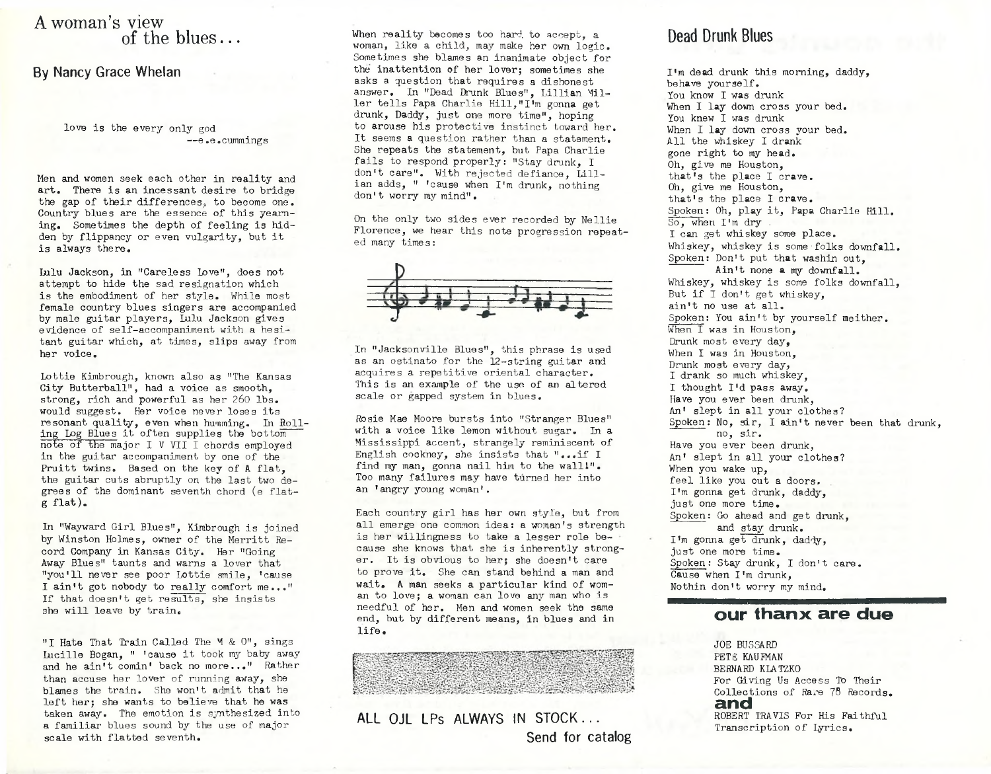### A woman's view of the blues...

#### **By Nancy Grace Whelan**

love is the every only god —e . e . cummings

Men and women seek each other in reality and art. There is an incessant desire to bridge the gap of their differences, to become one. Country blues are the essence of this yearning. Sometimes the depth of feeling is hidden by flippancy or even vulgarity, but it is always there.

Lulu Jackson, in "Careless Love", does not attempt to hide the sad resignation which is the embodiment of her style. While most female country blues singers are accompanied by male guitar players, Lulu Jackson gives evidence of self-accompaniment with a hesitant guitar which, at times, slips away from her voice.

Lottie Kimbrough, known also as "The Kansas City Butterball", had a voice as smooth, strong, rich and powerful as her 260 lbs. would suggest. Her voice never loses its resonant quality, even when humming. In Rolling Log Blues it often supplies the bottom note of the major I V VII I chords employed in the guitar accompaniment by one of the Pruitt twins. Based on the key of A flat, the guitar cuts abruptly on the last two degrees of the dominant seventh chord (e flat $g$  flat).

In "Wayward Girl Blues", Kimbrough is joined by Winston Holmes, owner of the Merritt Record Company in Kansas City. Her "Going Away Blues" taunts and warns a lover that "you'll never see poor Lottie smile, 'cause I ain't got nobody to really comfort me..." If that doesn't get results, she insists she will leave by train.

"I Hate That Train Called The M & O", sings Lucille Bogan, " 'cause it took my baby away and he ain't comin' back no more..." Rather than accuse her lover of running away, she blames the train. She won't admit that he left her: she wants to believe that he was taken away. The emotion is synthesized into a familiar blues sound by the use of major scale with flatted seventh.

When reality becomes too hard to accept, a woman, like a child, may make her own logic. Sometimes she blames an inanimate object for the inattention of her lover; sometimes she asks a question that requires a dishonest answer. In "Dead Drunk Blues", Lillian Miller tells Papa Charlie Hill, "I'm gonna get drunk, Daddy, just one more time", hoping to arouse his protective instinct toward her. It seems a question rather than a statement. She repeats the statement, but Papa Charlie fails to respond properly: "Stay drunk, I don't care". With rejected defiance, Lillian adds, " 'cause when I'm drunk, nothing don't worry my mind".

On the only two sides ever recorded by Nellie Florence, we hear this note progression repeated many times:



In "Jacksonville Blues", this phrase is used as an ostinato for the 12-string guitar and acquires a repetitive oriental character. This is an example of the use of an altered scale or gapped system in blues.

Rosie Mae Moore bursts into "Stranger Blues" with a voice like lemon without sugar. In a Mississippi accent, strangely reminiscent of English cockney, she insists that "... if I find my man, gonna nail him to the wall!". Too many failures may have turned her into an ' angry young woman'.

Each country girl has her own style, but from all emerge one common idea: a woman's strength is her willingness to take a lesser role because she knows that she is inherently stronger. It is obvious to her; she doesn't care to prove it. She can stand behind a man and wait. A man seeks a particular kind of woman to love; a woman can love any man who is needful of her. Men and women seek the same end, but by different means, in blues and in  $l$  if  $e$ .

**ALL OJL LPs ALWAYS IN STOCK. . . Send for catalog**

## **Dead Drunk Blues**

I'm dead drunk this morning, daddy, behave yourself, You know I was drunk When I lay down cross your bed. You knew I was drunk When I lay down cross your bed. All the whiskey I drank gone right to my head. Oh, give me Houston, that's the place I crave. Oh, give me Houston, that's the place I crave. Spoken: Oh, play it, Papa Charlie Hill. So, when I'm dry. I can get whiskey some place. Whiskey, whiskey is some folks downfall. Spoken: Don't put that washin out, Ain't none a my downfall. Whiskey, whiskey is some folks downfall, But if I don't get whiskey. ain't no use at all. Spoken: You ain't by yourself meither. When I was in Houston, Drunk most every day, When I was in Houston, Drunk most every day, I drank so much whiskey, I thought I'd pass away. Have you ever been drunk, An' slept in all your clothes? Spoken: No, sir, I ain't never been that drunk. no, sir. Have you ever been drunk, An' slept in all your clothes? When you wake up, feel like you out a doors. I'm gonna get drunk, daddy, just one more time. Spoken: Go ahead and get drunk, and stay drunk. I'm gonna get drunk, daddy, just one more time. Spoken: Stay drunk, I don't care. Cause when I'm drunk, Nothin don't worry my mind.

#### **our thanx are due**

JOE BUSSARD PETS KAUFMAN BERNARD KLATZKO For Giving Us Access To Their Collections of Rare 75 Records. **and** ROBERT TRAVIS For His Faithful Transcription of Lyrics.